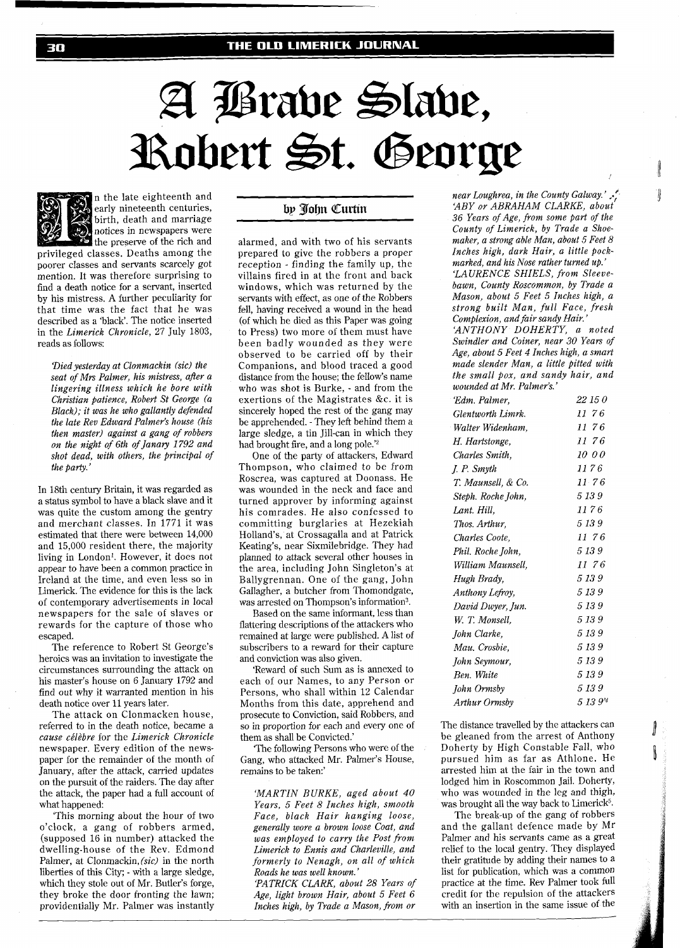# A Brave Slave, Robert St. George

n the late eighteenth and early nineteenth centuries, birth, death and marriage notices in newspapers were the preserve of the rich and privileged classes. Deaths among the poorer classes and servants scarcely got mention. It was therefore surprising to find a death notice for a servant, inserted by his mistress. A further peculiarity for that time was the fact that he was described as a 'black'. The notice inserted in the *Limerick Chronicle,* 27 July 1803, reads as follows:

*'Died yesterday at Clonmackin (sic) the seat of* Mn *Palmer, his mistress, after a lingering illness which he bore with Christian patience, Robert St George (a Black); it was he who gallantly defended the late Rev Edward Palmer's house (his then master) against a gang of robbers on the night of 6th of Janary 1792 and shot dead, with others, the principal of the party.* 

In 18th century Britain, it was regarded as a status symbol to have a black slave and it was quite the custom among the gentry and merchant classes. In 1771 it was estimated that there were between 14,000 and 15,000 resident there, the majority living in London1. However, it does not appear to have been a common practice in Ireland at the time, and even less so in Limerick. The evidence for this is the lack of contemporary advertisements in local newspapers for the sale of slaves or rewards for the capture of those who escaped.

The reference to Robert St George's heroics was an invitation to investigate the circumstances surrounding the attack on his master's house on 6 January 1792 and find out why it warranted mention in his death notice over 11 years later.

The attack on Clonmacken house, referred to in the death notice, became a *cause cklkbre* for the *Limerick Chronicle*  newspaper. Every edition of the newspaper for the remainder of the month of January, after the attack, carried updates on the pursuit of the raiders. The day after the attack, the paper had a full account of what happened:

'This morning about the hour of two o'clock, a gang of robbers armed, (supposed 16 in number) attacked the dwelling-house of the Rev. Edmond Palmer, at Clonmackin, *(sic)* in the north liberties of this City; - with a large sledge, which they stole out of Mr. Butler's forge, they broke the door fronting the lawn; providentially Mr. Palmer was instantly

## by John Curtin

alarmed, and with two of his servants prepared to give the robbers a proper reception - finding the family up, the villains fired in at the front and back windows, which was returned by the servants with effect, as one of the Robbers fell, having received a wound in the head (of which he died as this Paper was going to Press) two more of them must have been badly wounded as they were observed to be carried off by their Companions, and blood traced a good distance from the house; the fellow's name who was shot is Burke, - and from the exertions of the Magistrates &c. it is sincerely hoped the rest of the gang may be apprehended. - They left behind them a large sledge, a tin Jill-can in which they had brought fire, and a long pole.'2

One of the party of attackers, Edward Thompson, who claimed to be from Roscrea, was captured at Doonass. He was wounded in the neck and face and turned approver by informing against his comrades. He also confessed to committing burglaries at Hezekiah Holland's, at Crossagalla and at Patrick Keating's, near Sixmilebridge. They had planned to attack several other houses in the area, including John Singleton's at Ballygrennan. One of the gang, John Gallagher, a butcher from Thomondgate, was arrested on Thompson's information3.

Based on the same informant, less than flattering descriptions of the attackers who remained at large were published. A list of subscribers to a reward for their capture and conviction was also given.

'Reward of such Sum as is annexed to each of our Names, to any Person or Persons, who shall within 12 Calendar Months from this date, apprehend and prosecute to Conviction, said Robbers, and so in proportion for each and every one of them as shall be Convicted.'

'The following Persons who were of the Gang, who attacked Mr. Palmer's House, remains to be taken:'

*'MARTIN BURKE, aged about 40 Years, 5 Feet 8 Inches high, smooth Face, black Hair hanging loose, generally wore a brown loose Coat, and was employed to carry the Post from Limerick to Ennis and Charleville, and formerly to Nenagh, on all of which Roads he was well known.'* 

*'PATRICK CLARK, about 28 Years of Age, light brown Hair, about 5 Feet 6 Inches high, by Trade a Mason, fiom or* 

*near Loughrea, in the County Galway.'*  $\cdot$ . *'ABY or ABRAHAM CLARKE, about 36 Years of Age, from some part of the County of Limerick, by Trade a Shoemaker, a strong able Man, about 5 Feet 8 Inches high, dark Hair, a little pockmarked, and his Nose rather turned up.' 'LAURENCE SHIELS, from Sleevebawn, County Roscommon, by Trade a Mason, about 5 Feet 5 Inches high, a strong built Man, full Face, fresh Complexion, and fair sandy Hair. 'ANTHONY DOHERTY, a noted Swindler and Coiner, near 30 Years of Age, about 5 Feet 4 Inches high, a smart* 

*made slender Man, a little pitted with the small pox, and sandy hair, and wounded at Mr. Palmer's.'* 

| Edm. Palmer,       | 22 15 0       |
|--------------------|---------------|
| Glentworth Limrk.  | 1176          |
| Walter Widenham.   | 1176          |
| H. Hartstonge,     | 1176          |
| Charles Smith.     | <i>10 0 0</i> |
| <i>I. P. Smyth</i> | 1176          |
| T. Maunsell, & Co. | 1176          |
| Steph. Roche John, | 5 13 9        |
| Lant. Hill.        | 11 7 6        |
| Thos. Arthur.      | 5 13 9        |
| Charles Coote.     | 1176          |
| Phil. Roche John,  | 5 13 9        |
| William Maunsell.  | 1176          |
| Hugh Brady,        | 5 13 9        |
| Anthony Lefroy,    | 5 13 9        |
| David Dwyer, Jun.  | 5 13 9        |
| W. T. Monsell.     | 5139          |
| John Clarke.       | 5 13 9        |
| Mau. Crosbie.      | 5 13 9        |
| John Seymour,      | 5 13 9        |
| Ben. White         | 5 13 9        |
| John Ormsby        | 5 13 9        |
| Arthur Ormsby      | 5 13 94       |

The distance travelled by the attackers can be gleaned from the arrest of Anthony Doherty by High Constable Fall, who pursued him as far as Athlone. He arrested him at the fair in the town and lodged him in Roscommon Jail. Doherty, who was wounded in the leg and thigh, was brought all the way back to Limerick<sup>5</sup>.

ll.

ų.

The break-up of the gang of robbers and the gallant defence made by Mr Palmer and his servants came as a great relief to the local gentry. They displayed their gratitude by adding their names to a list for publication, which was a common practice at the time. Rev Palmer took full credit for the repulsion of the attackers with an insertion in the same issue of the